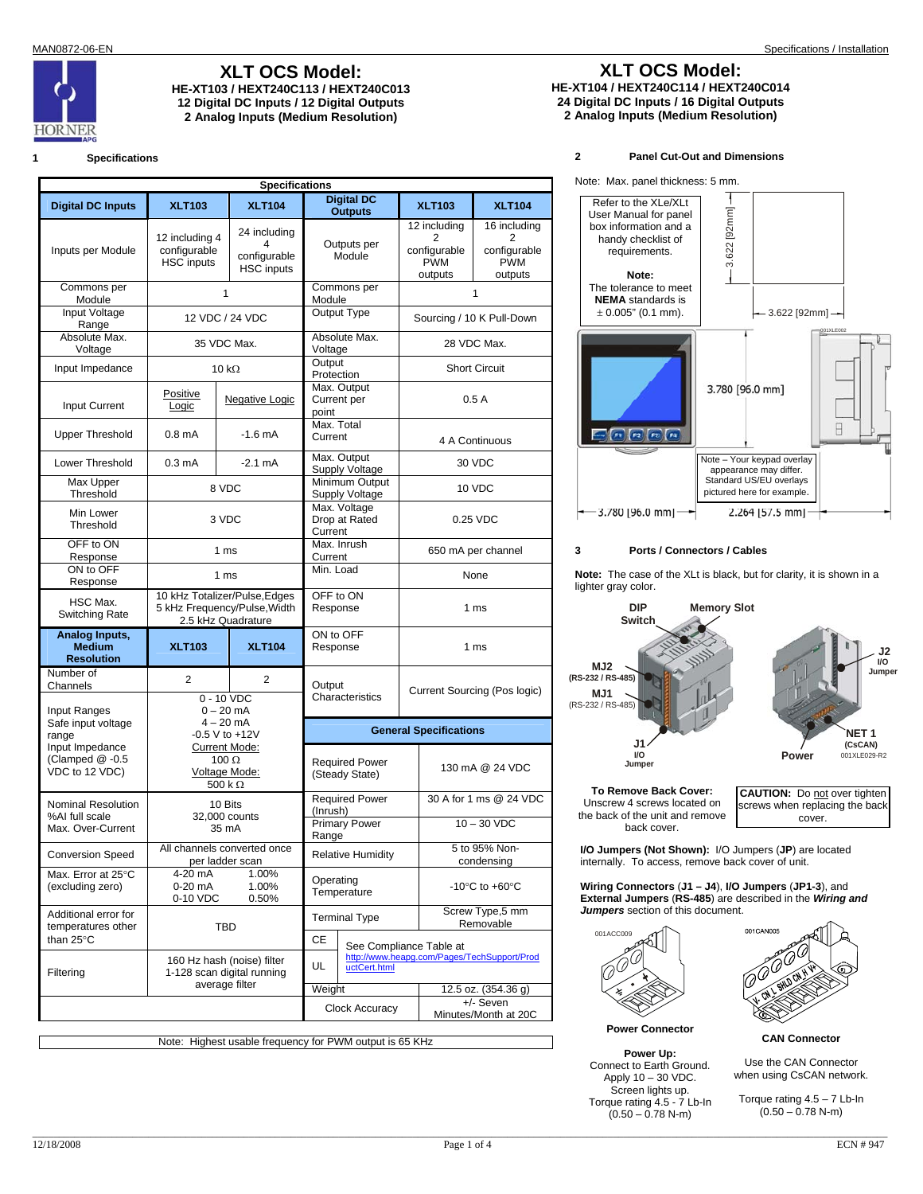

**2 Analog Inputs (Medium Resolution) 2 Analog Inputs (Medium Resolution)**

### **1 Specifications**

| <b>Specifications</b>                                |                                                                                                                                                                    |                                                   |                                                         |                                                                        |                                                            |  |
|------------------------------------------------------|--------------------------------------------------------------------------------------------------------------------------------------------------------------------|---------------------------------------------------|---------------------------------------------------------|------------------------------------------------------------------------|------------------------------------------------------------|--|
| <b>Digital DC Inputs</b>                             | <b>XLT103</b>                                                                                                                                                      | <b>XLT104</b>                                     | <b>Digital DC</b><br><b>Outputs</b>                     | <b>XLT103</b>                                                          | <b>XLT104</b>                                              |  |
| Inputs per Module                                    | 12 including 4<br>configurable<br>HSC inputs                                                                                                                       | 24 including<br>configurable<br><b>HSC</b> inputs | Outputs per<br>Module                                   | 12 includina<br>2<br>configurable<br><b>PWM</b><br>outputs             | 16 including<br>2<br>configurable<br><b>PWM</b><br>outputs |  |
| Commons per<br>Module                                | $\mathbf{1}$                                                                                                                                                       |                                                   | Commons per<br>Module                                   | 1                                                                      |                                                            |  |
| Input Voltage<br>Range                               | 12 VDC / 24 VDC                                                                                                                                                    |                                                   | <b>Output Type</b>                                      |                                                                        | Sourcing / 10 K Pull-Down                                  |  |
| Absolute Max.<br>Voltage                             | 35 VDC Max.                                                                                                                                                        |                                                   | Absolute Max.<br>Voltage                                |                                                                        | 28 VDC Max.                                                |  |
| Input Impedance                                      | 10 k $\Omega$                                                                                                                                                      |                                                   | Output<br>Protection                                    |                                                                        | <b>Short Circuit</b>                                       |  |
| Input Current                                        | Positive<br>Logic                                                                                                                                                  | <b>Negative Logic</b>                             | Max. Output<br>Current per<br>point                     |                                                                        | 0.5A                                                       |  |
| <b>Upper Threshold</b>                               | 0.8 <sub>m</sub> A                                                                                                                                                 | $-1.6$ mA                                         | Max. Total<br>Current                                   |                                                                        | 4 A Continuous                                             |  |
| Lower Threshold                                      | 0.3 <sub>m</sub> A                                                                                                                                                 | $-2.1 \text{ mA}$                                 | Max. Output<br>Supply Voltage                           |                                                                        | 30 VDC                                                     |  |
| Max Upper<br>Threshold                               |                                                                                                                                                                    | 8 VDC                                             | Minimum Output<br><b>Supply Voltage</b>                 |                                                                        | 10 VDC                                                     |  |
| Min Lower<br>Threshold                               | 3 VDC                                                                                                                                                              |                                                   | Max. Voltage<br>Drop at Rated<br>Current                |                                                                        | 0.25 VDC                                                   |  |
| OFF to ON<br>Response                                | 1 ms                                                                                                                                                               |                                                   | Max. Inrush<br>Current                                  | 650 mA per channel                                                     |                                                            |  |
| ON to OFF<br>Response                                | 1 ms                                                                                                                                                               |                                                   | Min. Load                                               | None                                                                   |                                                            |  |
| HSC Max.<br>Switching Rate                           | 10 kHz Totalizer/Pulse, Edges<br>5 kHz Frequency/Pulse, Width<br>2.5 kHz Quadrature                                                                                |                                                   | OFF to ON<br>Response                                   |                                                                        | 1 <sub>ms</sub>                                            |  |
| Analog Inputs,<br><b>Medium</b><br><b>Resolution</b> | <b>XLT103</b>                                                                                                                                                      | <b>XLT104</b>                                     | ON to OFF<br>Response                                   |                                                                        | 1 ms                                                       |  |
| Number of<br>Channels<br>Input Ranges                | $\overline{2}$<br>2<br>$0 - 10$ VDC<br>$0 - 20$ mA<br>$4 - 20$ mA<br>$-0.5$ V to $+12V$<br><b>Current Mode:</b><br>100 $\Omega$<br>Voltage Mode:<br>500 k $\Omega$ |                                                   | Output<br>Characteristics                               |                                                                        | Current Sourcing (Pos logic)                               |  |
| Safe input voltage<br>range                          |                                                                                                                                                                    |                                                   | <b>General Specifications</b>                           |                                                                        |                                                            |  |
| Input Impedance<br>(Clamped @-0.5<br>VDC to 12 VDC)  |                                                                                                                                                                    |                                                   | <b>Required Power</b><br>(Steady State)                 |                                                                        | 130 mA @ 24 VDC                                            |  |
| Nominal Resolution                                   | 10 Bits<br>32,000 counts<br>35 mA                                                                                                                                  |                                                   | <b>Required Power</b><br>(Inrush)                       |                                                                        | 30 A for 1 ms @ 24 VDC                                     |  |
| %AI full scale<br>Max. Over-Current                  |                                                                                                                                                                    |                                                   | <b>Primary Power</b><br>Range                           |                                                                        | $10 - 30$ VDC                                              |  |
| Conversion Speed                                     | All channels converted once<br>per ladder scan                                                                                                                     |                                                   | <b>Relative Humidity</b>                                |                                                                        | 5 to 95% Non-<br>condensing                                |  |
| Max. Error at 25°C<br>(excluding zero)               | 4-20 mA<br>$0-20$ mA<br>0-10 VDC                                                                                                                                   | 1.00%<br>1.00%<br>0.50%                           | Operating<br>Temperature                                |                                                                        | -10 $\degree$ C to +60 $\degree$ C                         |  |
| Additional error for<br>temperatures other           | <b>TBD</b>                                                                                                                                                         |                                                   | Screw Type,5 mm<br><b>Terminal Type</b><br>Removable    |                                                                        |                                                            |  |
| than 25°C<br>Filtering                               | 160 Hz hash (noise) filter<br>1-128 scan digital running<br>average filter                                                                                         |                                                   | СE<br>UL<br>uctCert.html                                | See Compliance Table at<br>http://www.heapg.com/Pages/TechSupport/Prod |                                                            |  |
|                                                      |                                                                                                                                                                    |                                                   | Weight<br><b>Clock Accuracy</b>                         |                                                                        | 12.5 oz. (354.36 g)<br>+/- Seven<br>Minutes/Month at 20C   |  |
|                                                      |                                                                                                                                                                    |                                                   | Note: Highest usable frequency for PWM output is 65 KHz |                                                                        |                                                            |  |

# **XLT OCS Model: XLT OCS Model: XLT OCS Model: XLT OCS Model: XLT OCS Model: XLT OCS Model: XLT OCS Model: XLT OCS Model: XLT OCS Model: XLT OCS Model: XLT OCS Model: XLT OCS Model: XLT OCS MODEL: HE-XT103 / HEXT240C113 / HEXT240C013 HE-XT104 / HEXT240C114 / HEXT240C014 12 Digital DC Inputs / 12 Digital Outputs 24 Digital DC Inputs / 16 Digital Outputs**

## **2 Panel Cut-Out and Dimensions**



### **3 Ports / Connectors / Cables**

**Note:** The case of the XLt is black, but for clarity, it is shown in a lighter gray color.



**To Remove Back Cover:**  Unscrew 4 screws located on the back of the unit and remove back cover.

**CAUTION:** Do not over tighten screws when replacing the back cover.

**I/O Jumpers (Not Shown):** I/O Jumpers (**JP**) are located internally. To access, remove back cover of unit.

**Wiring Connectors** (**J1 – J4**), **I/O Jumpers** (**JP1-3**), and **External Jumpers** (**RS-485**) are described in the *Wiring and Jumpers* section of this document.



**Power Connector** 

**Power Up:**  Connect to Earth Ground. Apply 10 – 30 VDC. Screen lights up. Torque rating 4.5 - 7 Lb-In  $(0.50 - 0.78$  N-m)



**CAN Connector** 

Use the CAN Connector when using CsCAN network.

Torque rating 4.5 – 7 Lb-In  $(0.50 - 0.78 N-m)$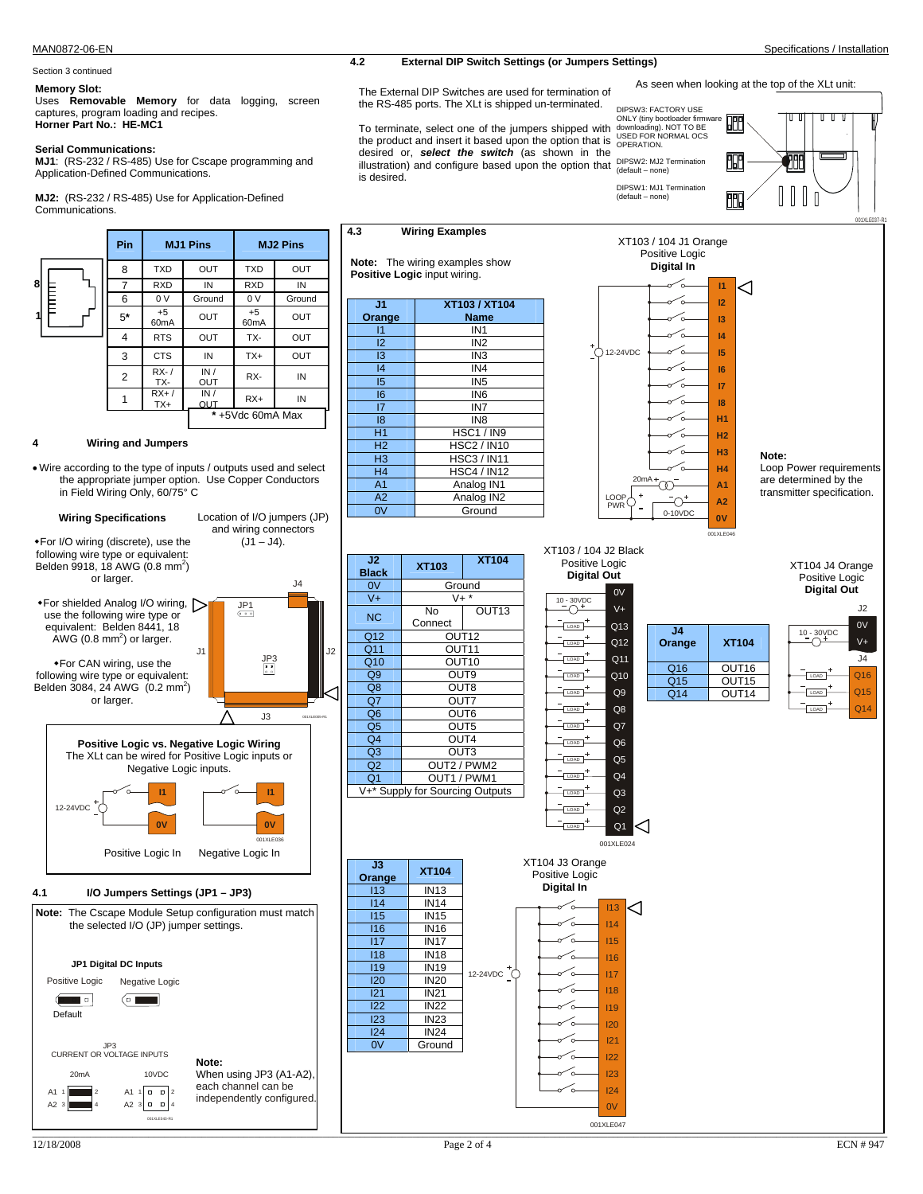# Section 3 continued

Uses **Removable Memory** for data logging, screen captures, program loading and recipes. **Horner Part No.: HE-MC1** 

### **Serial Communications:**

**MJ1**: (RS-232 / RS-485) Use for Cscape programming and Application-Defined Communications.

**MJ2:** (RS-232 / RS-485) Use for Application-Defined Communications.



## **4 Wiring and Jumpers**

• Wire according to the type of inputs / outputs used and select the appropriate jumper option. Use Copper Conductors in Field Wiring Only, 60/75° C





MAN0872-06-EN Specifications / Installation **External DIP Switch Settings (or Jumpers Settings)** 

Memory Slot:<br>
The External DIP Switches are used for termination of As seen when looking at the top of the XLt unit: the RS-485 ports. The XLt is shipped un-terminated.

> **XT103 / XT104 Name**

HSC3 / IN11

Ground

**4.3 Wiring Examples** 

 $\overline{I1}$  IN1 I2 IN2  $\overline{13}$  IN3 I4 IN4 I5 IN5 I6 IN6  $\overline{17}$   $\overline{187}$ I8 IN8 H1 HSC1 / IN9<br>H2 HSC2 / IN10 H2 HSC2 / IN10<br>H3 HSC3 / IN11

**Note:** The wiring examples show **Positive Logic** input wiring.

> H4 HSC4 / IN12 A<sub>1</sub> Analog IN<sub>1</sub><br>A<sub>2</sub> Analog IN<sub>2</sub> A2 Analog IN2<br>0V Ground

**J1 Orange** 

illustration) and configure based upon the option that  $\frac{DIPSW2: MJ2 \text{ Termination}}{(\text{default} - \text{none})}$ To terminate, select one of the jumpers shipped with the product and insert it based upon the option that is desired or, *select the switch* (as shown in the is desired.



ONLY (tiny bootloader firmware downloading). NOT TO BE USED FOR NORMAL OCS OPERATION. 68 涆



XT104 J4 Orange Positive Logic **Digital Out** 





**J3** 

I21 IN21 I22 IN22<br>I23 IN23 <u>23</u> IN<sub>23</sub><br>124 IN<sub>24</sub> I24 IN24 0V Ground

Q11 Q12  $V<sub>+</sub>$ 0V  $T_{\text{LOAD}}$  $\overline{100}$ 10 - 30VDC<br>
<u></u> Q13  $\overline{\text{LOAD}}$ **Digital Out** 

XT103 / 104 J2 Black Positive Logic

 $T_{\text{LOAD}}$  $\overline{\phantom{a}}$ LOAD

| ٠<br>LOAD | Q <sub>11</sub> |    |
|-----------|-----------------|----|
| ۰         |                 | Q1 |
| LOAD      | Q10             | Ο1 |
| ۰<br>LOAD | Q9              | Q1 |
| ۰<br>LOAD | Q8              |    |
| LOAD      | Q7              |    |
| ۰<br>LOAD | Q <sub>6</sub>  |    |
| ۰<br>LOAD | Q <sub>5</sub>  |    |
| LOAD      | $\overline{Q}4$ |    |
| ۰<br>LOAD | Q <sub>3</sub>  |    |
| ۰<br>LOAD | Q <sub>2</sub>  |    |

Q1

001XLE024

I13 I14 I15 I16

⊲

I17 I18 I19 I20  $121$ 

I22 I23 I24 0V

001XLE047

**J4 Orange XT104**  16 OUT16<br>15 OUT15 15 OUT15<br>14 OUT14  $OUT14$ 

**0V**

001XLE046





### XT104 J3 Orange **Orange XT104** Positive Logic **Digital In**  I13 IN13 I14 IN14 I15 IN15 I16 IN16 I17 IN17 て I18 IN18 ั้ง **IN19** 12-24VDC I20 IN20

\_\_\_\_\_\_\_\_\_\_\_\_\_\_\_\_\_\_\_\_\_\_\_\_\_\_\_\_\_\_\_\_\_\_\_\_\_\_\_\_\_\_\_\_\_\_\_\_\_\_\_\_\_\_\_\_\_\_\_\_\_\_\_\_\_\_\_\_\_\_\_\_\_\_\_\_\_\_\_\_\_\_\_\_\_\_\_\_\_\_\_\_\_\_\_\_\_\_\_\_\_\_\_\_\_\_\_\_\_\_\_\_\_\_\_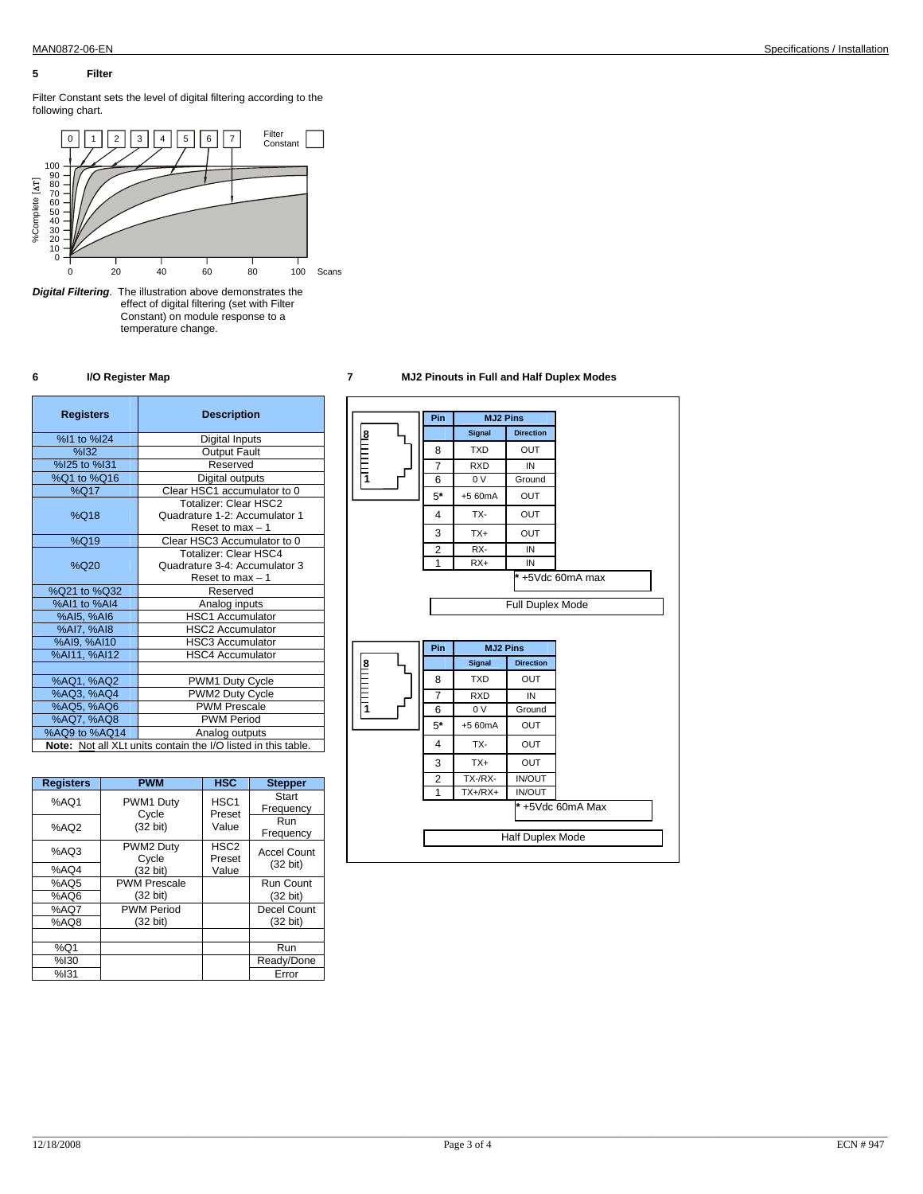## **5 Filter**

Filter Constant sets the level of digital filtering according to the following chart.



*Digital Filtering*. The illustration above demonstrates the effect of digital filtering (set with Filter Constant) on module response to a temperature change.

| <b>Registers</b>                                              | <b>Description</b>                                                                |  |  |
|---------------------------------------------------------------|-----------------------------------------------------------------------------------|--|--|
| %I1 to %I24                                                   | Digital Inputs                                                                    |  |  |
| %132                                                          | <b>Output Fault</b>                                                               |  |  |
| %I25 to %I31                                                  | Reserved                                                                          |  |  |
| %Q1 to %Q16                                                   | Digital outputs                                                                   |  |  |
| %Q17                                                          | Clear HSC1 accumulator to 0                                                       |  |  |
| %Q18                                                          | Totalizer: Clear HSC2<br>Quadrature 1-2: Accumulator 1<br>Reset to max $-1$       |  |  |
| %Q19                                                          | Clear HSC3 Accumulator to 0                                                       |  |  |
| %Q20                                                          | <b>Totalizer: Clear HSC4</b><br>Quadrature 3-4: Accumulator 3<br>Reset to max - 1 |  |  |
| %Q21 to %Q32                                                  | Reserved                                                                          |  |  |
| %Al1 to %Al4                                                  | Analog inputs                                                                     |  |  |
| %AI5, %AI6                                                    | <b>HSC1 Accumulator</b>                                                           |  |  |
| %AI7, %AI8                                                    | <b>HSC2 Accumulator</b>                                                           |  |  |
| %AI9, %AI10                                                   | <b>HSC3 Accumulator</b>                                                           |  |  |
| %AI11, %AI12                                                  | <b>HSC4 Accumulator</b>                                                           |  |  |
|                                                               |                                                                                   |  |  |
| %AQ1, %AQ2                                                    | PWM1 Duty Cycle                                                                   |  |  |
| %AQ3, %AQ4                                                    | PWM2 Duty Cycle                                                                   |  |  |
| %AQ5, %AQ6                                                    | <b>PWM Prescale</b>                                                               |  |  |
| %AQ7, %AQ8                                                    | <b>PWM Period</b>                                                                 |  |  |
| %AQ9 to %AQ14<br>Analog outputs                               |                                                                                   |  |  |
| Note: Not all XLt units contain the I/O listed in this table. |                                                                                   |  |  |

| <b>Registers</b> | <b>PWM</b>          | HSC              | <b>Stepper</b>     |
|------------------|---------------------|------------------|--------------------|
| %AQ1             | PWM1 Duty           | HSC <sub>1</sub> | Start              |
|                  | Cycle               | Preset           | Frequency          |
| %AQ2             | $(32 \text{ bit})$  | Value            | Run                |
|                  |                     |                  | Frequency          |
| %AO3             | PWM2 Duty           | HSC <sub>2</sub> | <b>Accel Count</b> |
|                  | Cycle               | Preset           |                    |
| %AQ4             | (32 bit)            | Value            | $(32 \text{ bit})$ |
| %AQ5             | <b>PWM Prescale</b> |                  | Run Count          |
| %AO6             | (32 bit)            |                  | $(32 \text{ bit})$ |
| %AQ7             | <b>PWM Period</b>   |                  | <b>Decel Count</b> |
| %AQ8             | $(32 \text{ bit})$  |                  | $(32 \text{ bit})$ |
|                  |                     |                  |                    |
| %Q1              |                     |                  | Run                |
| %130             |                     |                  | Ready/Done         |
| %131             |                     |                  | Error              |

## **6 I/O Register Map 7 MJ2 Pinouts in Full and Half Duplex Modes**